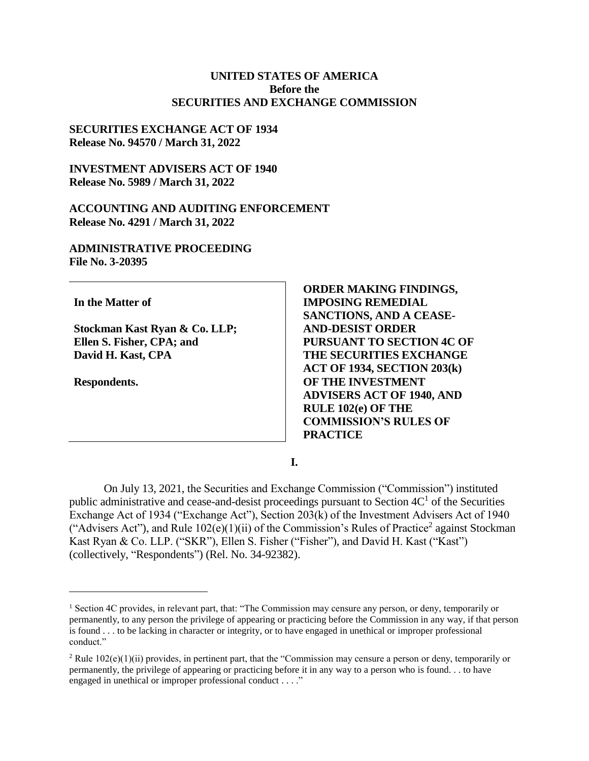### **UNITED STATES OF AMERICA Before the SECURITIES AND EXCHANGE COMMISSION**

### **SECURITIES EXCHANGE ACT OF 1934 Release No. 94570 / March 31, 2022**

### **INVESTMENT ADVISERS ACT OF 1940 Release No. 5989 / March 31, 2022**

### **ACCOUNTING AND AUDITING ENFORCEMENT Release No. 4291 / March 31, 2022**

### **ADMINISTRATIVE PROCEEDING File No. 3-20395**

**In the Matter of**

**Stockman Kast Ryan & Co. LLP; Ellen S. Fisher, CPA; and David H. Kast, CPA**

**Respondents.**

 $\overline{a}$ 

**ORDER MAKING FINDINGS, IMPOSING REMEDIAL SANCTIONS, AND A CEASE-AND-DESIST ORDER PURSUANT TO SECTION 4C OF THE SECURITIES EXCHANGE ACT OF 1934, SECTION 203(k) OF THE INVESTMENT ADVISERS ACT OF 1940, AND RULE 102(e) OF THE COMMISSION'S RULES OF PRACTICE** 

**I.**

On July 13, 2021, the Securities and Exchange Commission ("Commission") instituted public administrative and cease-and-desist proceedings pursuant to Section  $4C<sup>1</sup>$  of the Securities Exchange Act of 1934 ("Exchange Act"), Section 203(k) of the Investment Advisers Act of 1940 ("Advisers Act"), and Rule  $102(e)(1)(ii)$  of the Commission's Rules of Practice<sup>2</sup> against Stockman Kast Ryan & Co. LLP. ("SKR"), Ellen S. Fisher ("Fisher"), and David H. Kast ("Kast") (collectively, "Respondents") (Rel. No. 34-92382).

<sup>&</sup>lt;sup>1</sup> Section 4C provides, in relevant part, that: "The Commission may censure any person, or deny, temporarily or permanently, to any person the privilege of appearing or practicing before the Commission in any way, if that person is found . . . to be lacking in character or integrity, or to have engaged in unethical or improper professional conduct."

<sup>&</sup>lt;sup>2</sup> Rule  $102(e)(1)(ii)$  provides, in pertinent part, that the "Commission may censure a person or deny, temporarily or permanently, the privilege of appearing or practicing before it in any way to a person who is found. . . to have engaged in unethical or improper professional conduct . . . ."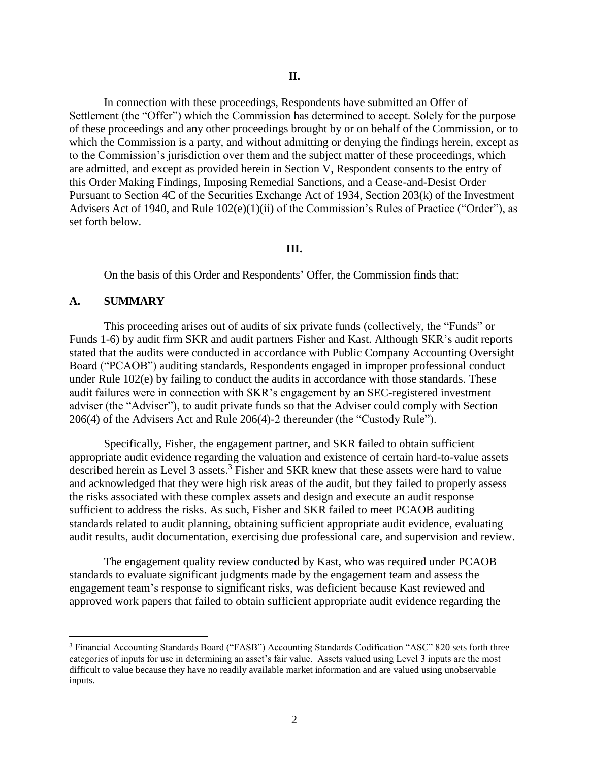In connection with these proceedings, Respondents have submitted an Offer of Settlement (the "Offer") which the Commission has determined to accept. Solely for the purpose of these proceedings and any other proceedings brought by or on behalf of the Commission, or to which the Commission is a party, and without admitting or denying the findings herein, except as to the Commission's jurisdiction over them and the subject matter of these proceedings, which are admitted, and except as provided herein in Section V, Respondent consents to the entry of this Order Making Findings, Imposing Remedial Sanctions, and a Cease-and-Desist Order Pursuant to Section 4C of the Securities Exchange Act of 1934, Section 203(k) of the Investment Advisers Act of 1940, and Rule 102(e)(1)(ii) of the Commission's Rules of Practice ("Order"), as set forth below.

### **III.**

On the basis of this Order and Respondents' Offer, the Commission finds that:

### **A. SUMMARY**

 $\overline{a}$ 

This proceeding arises out of audits of six private funds (collectively, the "Funds" or Funds 1-6) by audit firm SKR and audit partners Fisher and Kast. Although SKR's audit reports stated that the audits were conducted in accordance with Public Company Accounting Oversight Board ("PCAOB") auditing standards, Respondents engaged in improper professional conduct under Rule 102(e) by failing to conduct the audits in accordance with those standards. These audit failures were in connection with SKR's engagement by an SEC-registered investment adviser (the "Adviser"), to audit private funds so that the Adviser could comply with Section 206(4) of the Advisers Act and Rule 206(4)-2 thereunder (the "Custody Rule").

Specifically, Fisher, the engagement partner, and SKR failed to obtain sufficient appropriate audit evidence regarding the valuation and existence of certain hard-to-value assets described herein as Level 3 assets.<sup>3</sup> Fisher and SKR knew that these assets were hard to value and acknowledged that they were high risk areas of the audit, but they failed to properly assess the risks associated with these complex assets and design and execute an audit response sufficient to address the risks. As such, Fisher and SKR failed to meet PCAOB auditing standards related to audit planning, obtaining sufficient appropriate audit evidence, evaluating audit results, audit documentation, exercising due professional care, and supervision and review.

The engagement quality review conducted by Kast, who was required under PCAOB standards to evaluate significant judgments made by the engagement team and assess the engagement team's response to significant risks, was deficient because Kast reviewed and approved work papers that failed to obtain sufficient appropriate audit evidence regarding the

<sup>3</sup> Financial Accounting Standards Board ("FASB") Accounting Standards Codification "ASC" 820 sets forth three categories of inputs for use in determining an asset's fair value. Assets valued using Level 3 inputs are the most difficult to value because they have no readily available market information and are valued using unobservable inputs.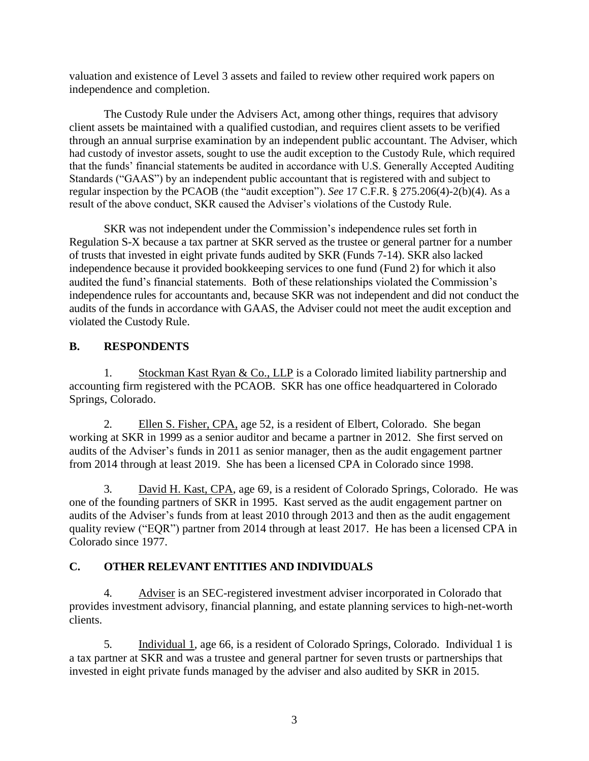valuation and existence of Level 3 assets and failed to review other required work papers on independence and completion.

The Custody Rule under the Advisers Act, among other things, requires that advisory client assets be maintained with a qualified custodian, and requires client assets to be verified through an annual surprise examination by an independent public accountant. The Adviser, which had custody of investor assets, sought to use the audit exception to the Custody Rule, which required that the funds' financial statements be audited in accordance with U.S. Generally Accepted Auditing Standards ("GAAS") by an independent public accountant that is registered with and subject to regular inspection by the PCAOB (the "audit exception"). *See* 17 C.F.R. § 275.206(4)-2(b)(4). As a result of the above conduct, SKR caused the Adviser's violations of the Custody Rule.

SKR was not independent under the Commission's independence rules set forth in Regulation S-X because a tax partner at SKR served as the trustee or general partner for a number of trusts that invested in eight private funds audited by SKR (Funds 7-14). SKR also lacked independence because it provided bookkeeping services to one fund (Fund 2) for which it also audited the fund's financial statements. Both of these relationships violated the Commission's independence rules for accountants and, because SKR was not independent and did not conduct the audits of the funds in accordance with GAAS, the Adviser could not meet the audit exception and violated the Custody Rule.

# **B. RESPONDENTS**

1. Stockman Kast Ryan & Co., LLP is a Colorado limited liability partnership and accounting firm registered with the PCAOB. SKR has one office headquartered in Colorado Springs, Colorado.

2. Ellen S. Fisher, CPA, age 52, is a resident of Elbert, Colorado. She began working at SKR in 1999 as a senior auditor and became a partner in 2012. She first served on audits of the Adviser's funds in 2011 as senior manager, then as the audit engagement partner from 2014 through at least 2019. She has been a licensed CPA in Colorado since 1998.

3. David H. Kast, CPA, age 69, is a resident of Colorado Springs, Colorado. He was one of the founding partners of SKR in 1995. Kast served as the audit engagement partner on audits of the Adviser's funds from at least 2010 through 2013 and then as the audit engagement quality review ("EQR") partner from 2014 through at least 2017. He has been a licensed CPA in Colorado since 1977.

# **C. OTHER RELEVANT ENTITIES AND INDIVIDUALS**

4. Adviser is an SEC-registered investment adviser incorporated in Colorado that provides investment advisory, financial planning, and estate planning services to high-net-worth clients.

5. Individual 1, age 66, is a resident of Colorado Springs, Colorado. Individual 1 is a tax partner at SKR and was a trustee and general partner for seven trusts or partnerships that invested in eight private funds managed by the adviser and also audited by SKR in 2015.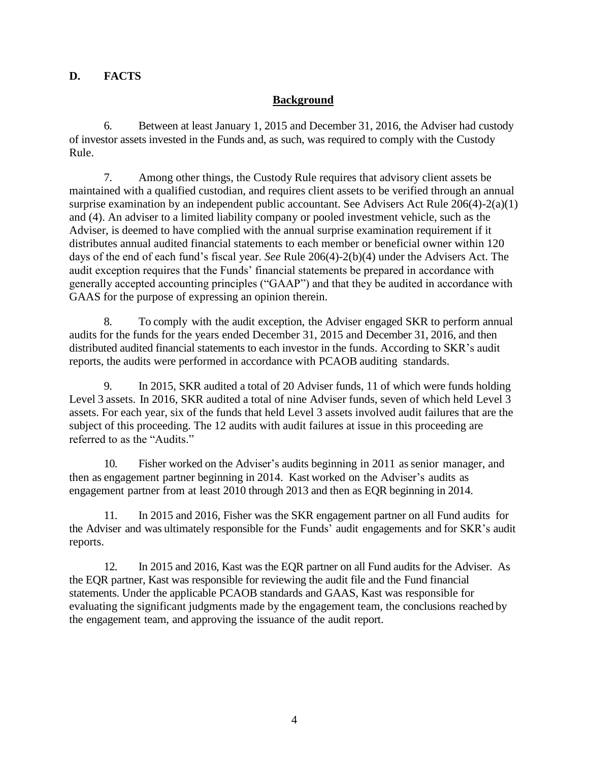## **D. FACTS**

### **Background**

6. Between at least January 1, 2015 and December 31, 2016, the Adviser had custody of investor assets invested in the Funds and, as such, was required to comply with the Custody Rule.

7. Among other things, the Custody Rule requires that advisory client assets be maintained with a qualified custodian, and requires client assets to be verified through an annual surprise examination by an independent public accountant. See Advisers Act Rule 206(4)-2(a)(1) and (4). An adviser to a limited liability company or pooled investment vehicle, such as the Adviser, is deemed to have complied with the annual surprise examination requirement if it distributes annual audited financial statements to each member or beneficial owner within 120 days of the end of each fund's fiscal year. *See* Rule 206(4)-2(b)(4) under the Advisers Act. The audit exception requires that the Funds' financial statements be prepared in accordance with generally accepted accounting principles ("GAAP") and that they be audited in accordance with GAAS for the purpose of expressing an opinion therein.

8. To comply with the audit exception, the Adviser engaged SKR to perform annual audits for the funds for the years ended December 31, 2015 and December 31, 2016, and then distributed audited financial statements to each investor in the funds. According to SKR's audit reports, the audits were performed in accordance with PCAOB auditing standards.

9. In 2015, SKR audited a total of 20 Adviser funds, 11 of which were funds holding Level 3 assets. In 2016, SKR audited a total of nine Adviser funds, seven of which held Level 3 assets. For each year, six of the funds that held Level 3 assets involved audit failures that are the subject of this proceeding. The 12 audits with audit failures at issue in this proceeding are referred to as the "Audits."

10. Fisher worked on the Adviser's audits beginning in 2011 assenior manager, and then as engagement partner beginning in 2014. Kast worked on the Adviser's audits as engagement partner from at least 2010 through 2013 and then as EQR beginning in 2014.

11. In 2015 and 2016, Fisher was the SKR engagement partner on all Fund audits for the Adviser and was ultimately responsible for the Funds' audit engagements and for SKR's audit reports.

12. In 2015 and 2016, Kast was the EQR partner on all Fund audits for the Adviser. As the EQR partner, Kast was responsible for reviewing the audit file and the Fund financial statements. Under the applicable PCAOB standards and GAAS, Kast was responsible for evaluating the significant judgments made by the engagement team, the conclusions reached by the engagement team, and approving the issuance of the audit report.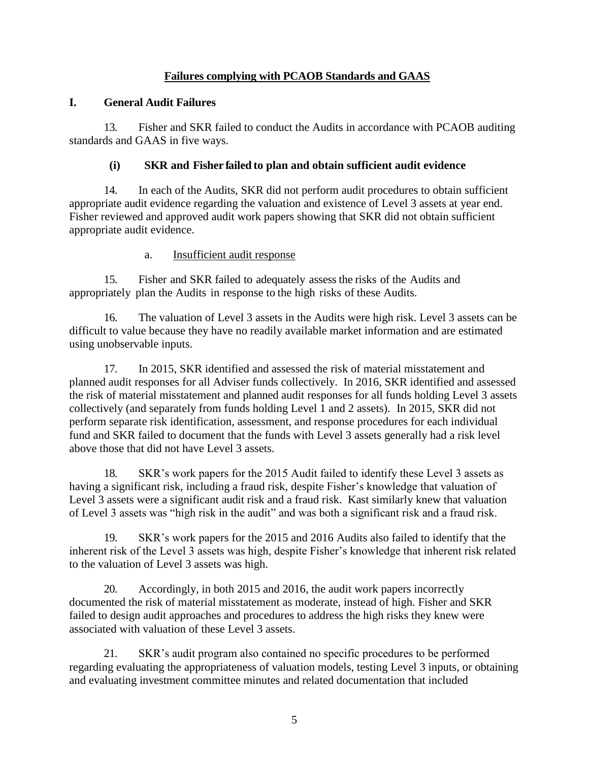## **Failures complying with PCAOB Standards and GAAS**

## **I. General Audit Failures**

13. Fisher and SKR failed to conduct the Audits in accordance with PCAOB auditing standards and GAAS in five ways.

# **(i) SKR and Fisher failed to plan and obtain sufficient audit evidence**

14. In each of the Audits, SKR did not perform audit procedures to obtain sufficient appropriate audit evidence regarding the valuation and existence of Level 3 assets at year end. Fisher reviewed and approved audit work papers showing that SKR did not obtain sufficient appropriate audit evidence.

## a. Insufficient audit response

15. Fisher and SKR failed to adequately assessthe risks of the Audits and appropriately plan the Audits in response to the high risks of these Audits.

16. The valuation of Level 3 assets in the Audits were high risk. Level 3 assets can be difficult to value because they have no readily available market information and are estimated using unobservable inputs.

17. In 2015, SKR identified and assessed the risk of material misstatement and planned audit responses for all Adviser funds collectively. In 2016, SKR identified and assessed the risk of material misstatement and planned audit responses for all funds holding Level 3 assets collectively (and separately from funds holding Level 1 and 2 assets). In 2015, SKR did not perform separate risk identification, assessment, and response procedures for each individual fund and SKR failed to document that the funds with Level 3 assets generally had a risk level above those that did not have Level 3 assets.

18. SKR's work papers for the 2015 Audit failed to identify these Level 3 assets as having a significant risk, including a fraud risk, despite Fisher's knowledge that valuation of Level 3 assets were a significant audit risk and a fraud risk. Kast similarly knew that valuation of Level 3 assets was "high risk in the audit" and was both a significant risk and a fraud risk.

19. SKR's work papers for the 2015 and 2016 Audits also failed to identify that the inherent risk of the Level 3 assets was high, despite Fisher's knowledge that inherent risk related to the valuation of Level 3 assets was high.

20. Accordingly, in both 2015 and 2016, the audit work papers incorrectly documented the risk of material misstatement as moderate, instead of high. Fisher and SKR failed to design audit approaches and procedures to address the high risks they knew were associated with valuation of these Level 3 assets.

21. SKR's audit program also contained no specific procedures to be performed regarding evaluating the appropriateness of valuation models, testing Level 3 inputs, or obtaining and evaluating investment committee minutes and related documentation that included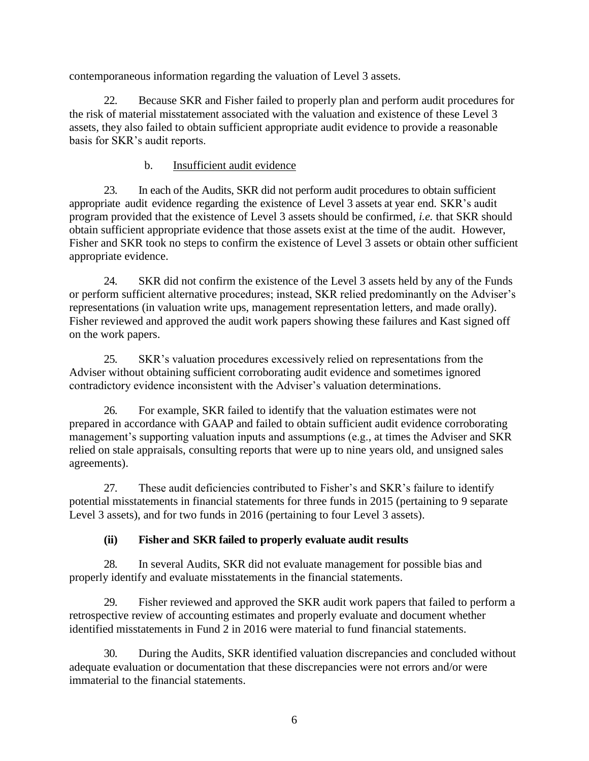contemporaneous information regarding the valuation of Level 3 assets.

22. Because SKR and Fisher failed to properly plan and perform audit procedures for the risk of material misstatement associated with the valuation and existence of these Level 3 assets, they also failed to obtain sufficient appropriate audit evidence to provide a reasonable basis for SKR's audit reports.

b. Insufficient audit evidence

23. In each of the Audits, SKR did not perform audit procedures to obtain sufficient appropriate audit evidence regarding the existence of Level 3 assets at year end. SKR's audit program provided that the existence of Level 3 assets should be confirmed, *i.e.* that SKR should obtain sufficient appropriate evidence that those assets exist at the time of the audit. However, Fisher and SKR took no steps to confirm the existence of Level 3 assets or obtain other sufficient appropriate evidence.

24. SKR did not confirm the existence of the Level 3 assets held by any of the Funds or perform sufficient alternative procedures; instead, SKR relied predominantly on the Adviser's representations (in valuation write ups, management representation letters, and made orally). Fisher reviewed and approved the audit work papers showing these failures and Kast signed off on the work papers.

25. SKR's valuation procedures excessively relied on representations from the Adviser without obtaining sufficient corroborating audit evidence and sometimes ignored contradictory evidence inconsistent with the Adviser's valuation determinations.

26. For example, SKR failed to identify that the valuation estimates were not prepared in accordance with GAAP and failed to obtain sufficient audit evidence corroborating management's supporting valuation inputs and assumptions (e.g., at times the Adviser and SKR relied on stale appraisals, consulting reports that were up to nine years old, and unsigned sales agreements).

27. These audit deficiencies contributed to Fisher's and SKR's failure to identify potential misstatements in financial statements for three funds in 2015 (pertaining to 9 separate Level 3 assets), and for two funds in 2016 (pertaining to four Level 3 assets).

# **(ii) Fisher and SKR failed to properly evaluate audit results**

28. In several Audits, SKR did not evaluate management for possible bias and properly identify and evaluate misstatements in the financial statements.

29. Fisher reviewed and approved the SKR audit work papers that failed to perform a retrospective review of accounting estimates and properly evaluate and document whether identified misstatements in Fund 2 in 2016 were material to fund financial statements.

30. During the Audits, SKR identified valuation discrepancies and concluded without adequate evaluation or documentation that these discrepancies were not errors and/or were immaterial to the financial statements.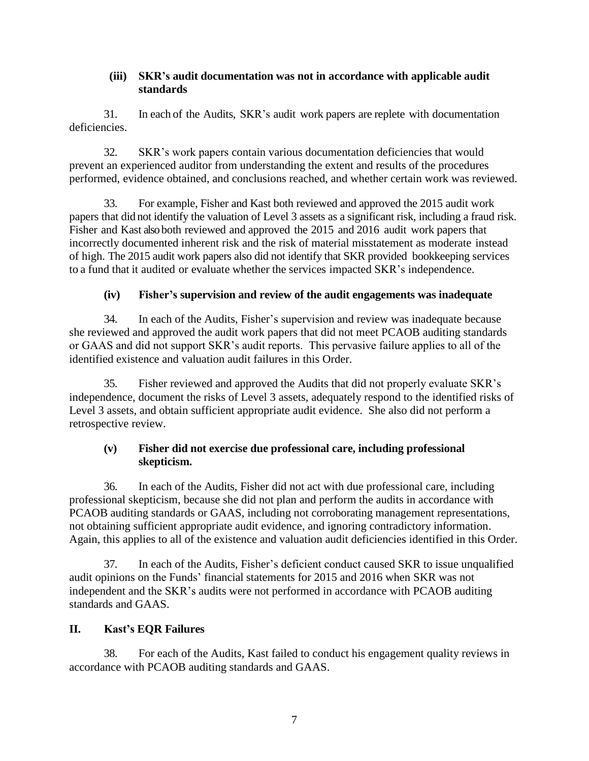### **(iii) SKR's audit documentation was not in accordance with applicable audit standards**

31. In each of the Audits, SKR's audit work papers are replete with documentation deficiencies.

32. SKR's work papers contain various documentation deficiencies that would prevent an experienced auditor from understanding the extent and results of the procedures performed, evidence obtained, and conclusions reached, and whether certain work was reviewed.

33. For example, Fisher and Kast both reviewed and approved the 2015 audit work papers that did not identify the valuation of Level 3 assets as a significant risk, including a fraud risk. Fisher and Kast also both reviewed and approved the 2015 and 2016 audit work papers that incorrectly documented inherent risk and the risk of material misstatement as moderate instead of high. The 2015 audit work papers also did not identify that SKR provided bookkeeping services to a fund that it audited or evaluate whether the services impacted SKR's independence.

# **(iv) Fisher's supervision and review of the audit engagements was inadequate**

34. In each of the Audits, Fisher's supervision and review was inadequate because she reviewed and approved the audit work papers that did not meet PCAOB auditing standards or GAAS and did not support SKR's audit reports. This pervasive failure applies to all of the identified existence and valuation audit failures in this Order.

35. Fisher reviewed and approved the Audits that did not properly evaluate SKR's independence, document the risks of Level 3 assets, adequately respond to the identified risks of Level 3 assets, and obtain sufficient appropriate audit evidence. She also did not perform a retrospective review.

## **(v) Fisher did not exercise due professional care, including professional skepticism.**

36. In each of the Audits, Fisher did not act with due professional care, including professional skepticism, because she did not plan and perform the audits in accordance with PCAOB auditing standards or GAAS, including not corroborating management representations, not obtaining sufficient appropriate audit evidence, and ignoring contradictory information. Again, this applies to all of the existence and valuation audit deficiencies identified in this Order.

37. In each of the Audits, Fisher's deficient conduct caused SKR to issue unqualified audit opinions on the Funds' financial statements for 2015 and 2016 when SKR was not independent and the SKR's audits were not performed in accordance with PCAOB auditing standards and GAAS.

## **II. Kast's EQR Failures**

38. For each of the Audits, Kast failed to conduct his engagement quality reviews in accordance with PCAOB auditing standards and GAAS.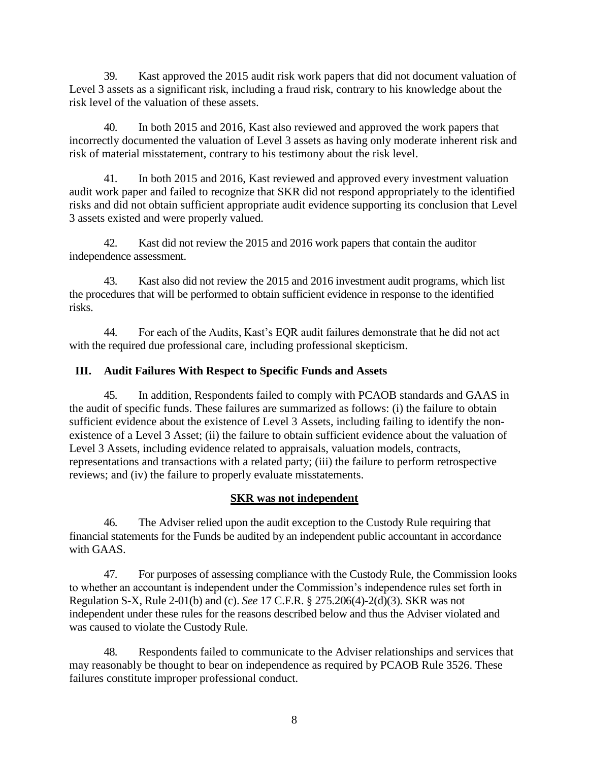39. Kast approved the 2015 audit risk work papers that did not document valuation of Level 3 assets as a significant risk, including a fraud risk, contrary to his knowledge about the risk level of the valuation of these assets.

40. In both 2015 and 2016, Kast also reviewed and approved the work papers that incorrectly documented the valuation of Level 3 assets as having only moderate inherent risk and risk of material misstatement, contrary to his testimony about the risk level.

41. In both 2015 and 2016, Kast reviewed and approved every investment valuation audit work paper and failed to recognize that SKR did not respond appropriately to the identified risks and did not obtain sufficient appropriate audit evidence supporting its conclusion that Level 3 assets existed and were properly valued.

42. Kast did not review the 2015 and 2016 work papers that contain the auditor independence assessment.

43. Kast also did not review the 2015 and 2016 investment audit programs, which list the procedures that will be performed to obtain sufficient evidence in response to the identified risks.

44. For each of the Audits, Kast's EQR audit failures demonstrate that he did not act with the required due professional care, including professional skepticism.

# **III. Audit Failures With Respect to Specific Funds and Assets**

45. In addition, Respondents failed to comply with PCAOB standards and GAAS in the audit of specific funds. These failures are summarized as follows: (i) the failure to obtain sufficient evidence about the existence of Level 3 Assets, including failing to identify the nonexistence of a Level 3 Asset; (ii) the failure to obtain sufficient evidence about the valuation of Level 3 Assets, including evidence related to appraisals, valuation models, contracts, representations and transactions with a related party; (iii) the failure to perform retrospective reviews; and (iv) the failure to properly evaluate misstatements.

## **SKR was not independent**

46. The Adviser relied upon the audit exception to the Custody Rule requiring that financial statements for the Funds be audited by an independent public accountant in accordance with GAAS.

47. For purposes of assessing compliance with the Custody Rule, the Commission looks to whether an accountant is independent under the Commission's independence rules set forth in Regulation S-X, Rule 2-01(b) and (c). *See* 17 C.F.R. § 275.206(4)-2(d)(3). SKR was not independent under these rules for the reasons described below and thus the Adviser violated and was caused to violate the Custody Rule.

48. Respondents failed to communicate to the Adviser relationships and services that may reasonably be thought to bear on independence as required by PCAOB Rule 3526. These failures constitute improper professional conduct.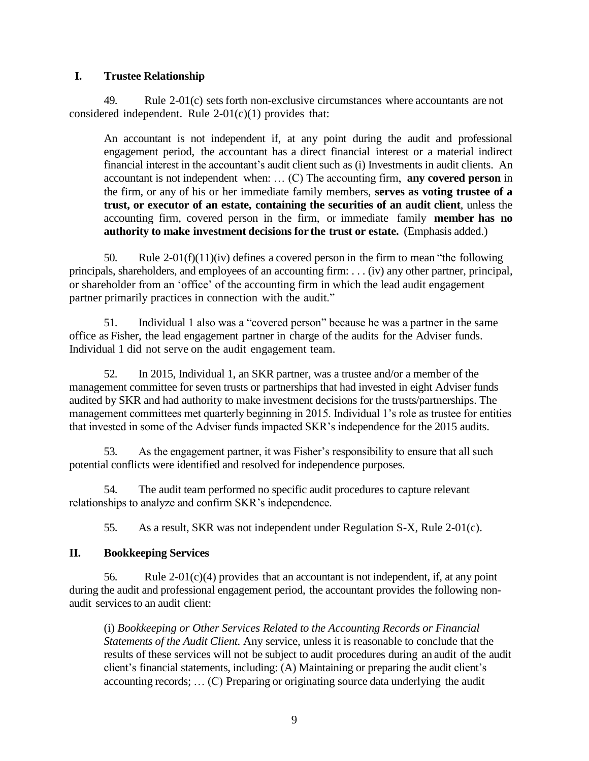### **I. Trustee Relationship**

49. Rule 2-01(c) setsforth non-exclusive circumstances where accountants are not considered independent. Rule  $2-01(c)(1)$  provides that:

An accountant is not independent if, at any point during the audit and professional engagement period, the accountant has a direct financial interest or a material indirect financial interest in the accountant's audit client such as (i) Investments in audit clients. An accountant is not independent when: … (C) The accounting firm, **any covered person** in the firm, or any of his or her immediate family members, **serves as voting trustee of a trust, or executor of an estate, containing the securities of an audit client**, unless the accounting firm, covered person in the firm, or immediate family **member has no authority to make investment decisions for the trust or estate.** (Emphasis added.)

50. Rule  $2-01(f)(11)(iv)$  defines a covered person in the firm to mean "the following" principals, shareholders, and employees of an accounting firm: . . . (iv) any other partner, principal, or shareholder from an 'office' of the accounting firm in which the lead audit engagement partner primarily practices in connection with the audit."

51. Individual 1 also was a "covered person" because he was a partner in the same office as Fisher, the lead engagement partner in charge of the audits for the Adviser funds. Individual 1 did not serve on the audit engagement team.

52. In 2015, Individual 1, an SKR partner, was a trustee and/or a member of the management committee for seven trusts or partnerships that had invested in eight Adviser funds audited by SKR and had authority to make investment decisions for the trusts/partnerships. The management committees met quarterly beginning in 2015. Individual 1's role as trustee for entities that invested in some of the Adviser funds impacted SKR's independence for the 2015 audits.

53. As the engagement partner, it was Fisher's responsibility to ensure that all such potential conflicts were identified and resolved for independence purposes.

54. The audit team performed no specific audit procedures to capture relevant relationships to analyze and confirm SKR's independence.

55. As a result, SKR was not independent under Regulation S-X, Rule 2-01(c).

## **II. Bookkeeping Services**

56. Rule 2-01(c)(4) provides that an accountant is not independent, if, at any point during the audit and professional engagement period, the accountant provides the following nonaudit services to an audit client:

(i) *Bookkeeping or Other Services Related to the Accounting Records or Financial Statements of the Audit Client.* Any service, unless it is reasonable to conclude that the results of these services will not be subject to audit procedures during an audit of the audit client's financial statements, including: (A) Maintaining or preparing the audit client's accounting records; … (C) Preparing or originating source data underlying the audit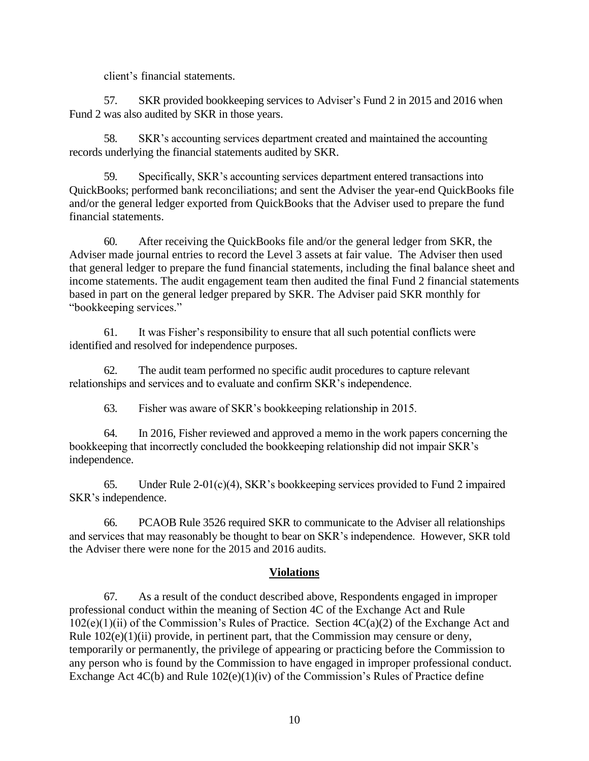client's financial statements.

57. SKR provided bookkeeping services to Adviser's Fund 2 in 2015 and 2016 when Fund 2 was also audited by SKR in those years.

58. SKR's accounting services department created and maintained the accounting records underlying the financial statements audited by SKR.

59. Specifically, SKR's accounting services department entered transactions into QuickBooks; performed bank reconciliations; and sent the Adviser the year-end QuickBooks file and/or the general ledger exported from QuickBooks that the Adviser used to prepare the fund financial statements.

60. After receiving the QuickBooks file and/or the general ledger from SKR, the Adviser made journal entries to record the Level 3 assets at fair value. The Adviser then used that general ledger to prepare the fund financial statements, including the final balance sheet and income statements. The audit engagement team then audited the final Fund 2 financial statements based in part on the general ledger prepared by SKR. The Adviser paid SKR monthly for "bookkeeping services."

61. It was Fisher's responsibility to ensure that all such potential conflicts were identified and resolved for independence purposes.

62. The audit team performed no specific audit procedures to capture relevant relationships and services and to evaluate and confirm SKR's independence.

63. Fisher was aware of SKR's bookkeeping relationship in 2015.

64. In 2016, Fisher reviewed and approved a memo in the work papers concerning the bookkeeping that incorrectly concluded the bookkeeping relationship did not impair SKR's independence.

65. Under Rule 2-01(c)(4), SKR's bookkeeping services provided to Fund 2 impaired SKR's independence.

66. PCAOB Rule 3526 required SKR to communicate to the Adviser all relationships and services that may reasonably be thought to bear on SKR's independence. However, SKR told the Adviser there were none for the 2015 and 2016 audits.

### **Violations**

67. As a result of the conduct described above, Respondents engaged in improper professional conduct within the meaning of Section 4C of the Exchange Act and Rule  $102(e)(1)(ii)$  of the Commission's Rules of Practice. Section  $4C(a)(2)$  of the Exchange Act and Rule  $102(e)(1)(ii)$  provide, in pertinent part, that the Commission may censure or deny, temporarily or permanently, the privilege of appearing or practicing before the Commission to any person who is found by the Commission to have engaged in improper professional conduct. Exchange Act 4C(b) and Rule 102(e)(1)(iv) of the Commission's Rules of Practice define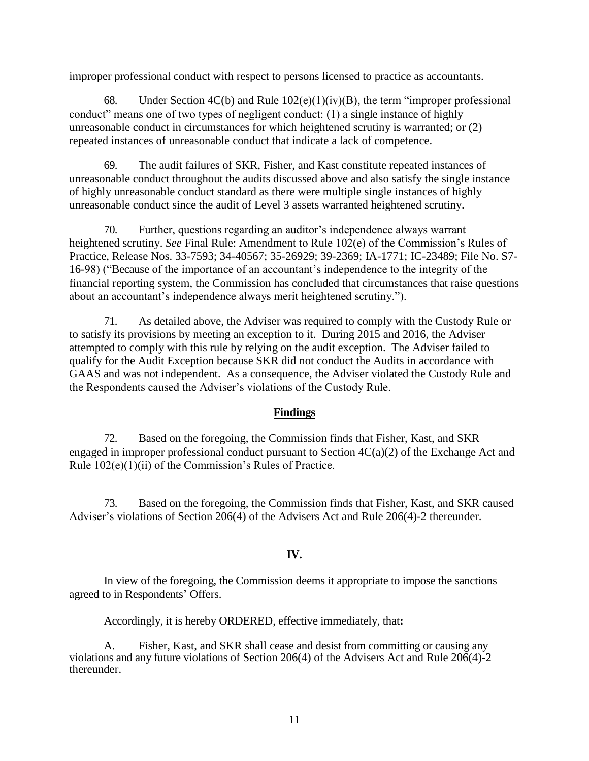improper professional conduct with respect to persons licensed to practice as accountants.

68. Under Section 4C(b) and Rule  $102(e)(1)(iv)(B)$ , the term "improper professional conduct" means one of two types of negligent conduct: (1) a single instance of highly unreasonable conduct in circumstances for which heightened scrutiny is warranted; or (2) repeated instances of unreasonable conduct that indicate a lack of competence.

69. The audit failures of SKR, Fisher, and Kast constitute repeated instances of unreasonable conduct throughout the audits discussed above and also satisfy the single instance of highly unreasonable conduct standard as there were multiple single instances of highly unreasonable conduct since the audit of Level 3 assets warranted heightened scrutiny.

70. Further, questions regarding an auditor's independence always warrant heightened scrutiny. *See* Final Rule: Amendment to Rule 102(e) of the Commission's Rules of Practice, Release Nos. 33-7593; 34-40567; 35-26929; 39-2369; IA-1771; IC-23489; File No. S7- 16-98) ("Because of the importance of an accountant's independence to the integrity of the financial reporting system, the Commission has concluded that circumstances that raise questions about an accountant's independence always merit heightened scrutiny.").

71. As detailed above, the Adviser was required to comply with the Custody Rule or to satisfy its provisions by meeting an exception to it. During 2015 and 2016, the Adviser attempted to comply with this rule by relying on the audit exception. The Adviser failed to qualify for the Audit Exception because SKR did not conduct the Audits in accordance with GAAS and was not independent. As a consequence, the Adviser violated the Custody Rule and the Respondents caused the Adviser's violations of the Custody Rule.

### **Findings**

72. Based on the foregoing, the Commission finds that Fisher, Kast, and SKR engaged in improper professional conduct pursuant to Section 4C(a)(2) of the Exchange Act and Rule  $102(e)(1)(ii)$  of the Commission's Rules of Practice.

73. Based on the foregoing, the Commission finds that Fisher, Kast, and SKR caused Adviser's violations of Section 206(4) of the Advisers Act and Rule 206(4)-2 thereunder.

## **IV.**

In view of the foregoing, the Commission deems it appropriate to impose the sanctions agreed to in Respondents' Offers.

Accordingly, it is hereby ORDERED, effective immediately, that**:**

A. Fisher, Kast, and SKR shall cease and desist from committing or causing any violations and any future violations of Section 206(4) of the Advisers Act and Rule 206(4)-2 thereunder.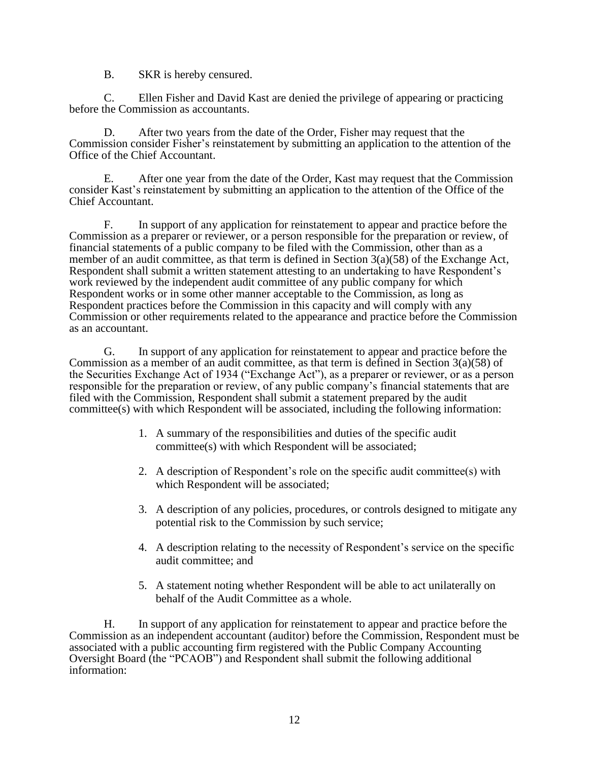B. SKR is hereby censured.

C. Ellen Fisher and David Kast are denied the privilege of appearing or practicing before the Commission as accountants.

D. After two years from the date of the Order, Fisher may request that the Commission consider Fisher's reinstatement by submitting an application to the attention of the Office of the Chief Accountant.

E. After one year from the date of the Order, Kast may request that the Commission consider Kast's reinstatement by submitting an application to the attention of the Office of the Chief Accountant.

F. In support of any application for reinstatement to appear and practice before the Commission as a preparer or reviewer, or a person responsible for the preparation or review, of financial statements of a public company to be filed with the Commission, other than as a member of an audit committee, as that term is defined in Section 3(a)(58) of the Exchange Act, Respondent shall submit a written statement attesting to an undertaking to have Respondent's work reviewed by the independent audit committee of any public company for which Respondent works or in some other manner acceptable to the Commission, as long as Respondent practices before the Commission in this capacity and will comply with any Commission or other requirements related to the appearance and practice before the Commission as an accountant.

G. In support of any application for reinstatement to appear and practice before the Commission as a member of an audit committee, as that term is defined in Section 3(a)(58) of the Securities Exchange Act of 1934 ("Exchange Act"), as a preparer or reviewer, or as a person responsible for the preparation or review, of any public company's financial statements that are filed with the Commission*,* Respondent shall submit a statement prepared by the audit committee(s) with which Respondent will be associated, including the following information:

- 1. A summary of the responsibilities and duties of the specific audit committee(s) with which Respondent will be associated;
- 2. A description of Respondent's role on the specific audit committee(s) with which Respondent will be associated;
- 3. A description of any policies, procedures, or controls designed to mitigate any potential risk to the Commission by such service;
- 4. A description relating to the necessity of Respondent's service on the specific audit committee; and
- 5. A statement noting whether Respondent will be able to act unilaterally on behalf of the Audit Committee as a whole.

H. In support of any application for reinstatement to appear and practice before the Commission as an independent accountant (auditor) before the Commission, Respondent must be associated with a public accounting firm registered with the Public Company Accounting Oversight Board (the "PCAOB") and Respondent shall submit the following additional information: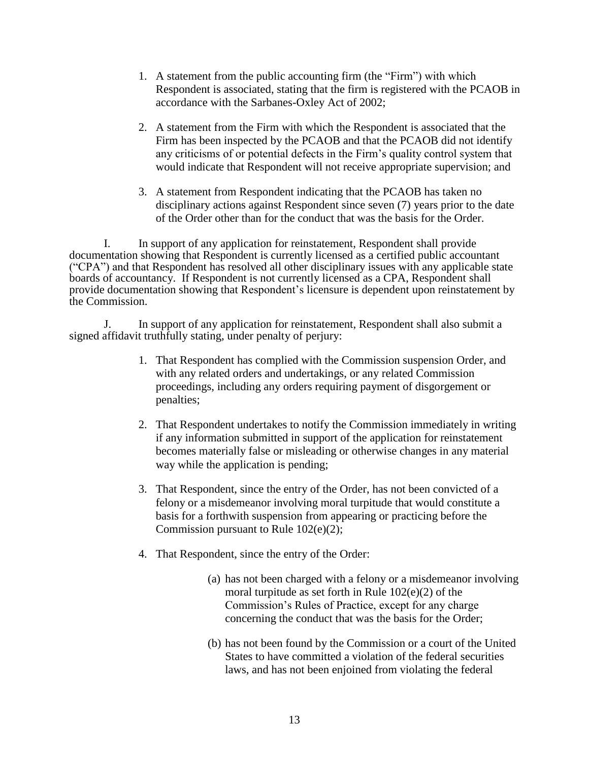- 1. A statement from the public accounting firm (the "Firm") with which Respondent is associated, stating that the firm is registered with the PCAOB in accordance with the Sarbanes-Oxley Act of 2002;
- 2. A statement from the Firm with which the Respondent is associated that the Firm has been inspected by the PCAOB and that the PCAOB did not identify any criticisms of or potential defects in the Firm's quality control system that would indicate that Respondent will not receive appropriate supervision; and
- 3. A statement from Respondent indicating that the PCAOB has taken no disciplinary actions against Respondent since seven (7) years prior to the date of the Order other than for the conduct that was the basis for the Order.

I. In support of any application for reinstatement, Respondent shall provide documentation showing that Respondent is currently licensed as a certified public accountant ("CPA") and that Respondent has resolved all other disciplinary issues with any applicable state boards of accountancy. If Respondent is not currently licensed as a CPA, Respondent shall provide documentation showing that Respondent's licensure is dependent upon reinstatement by the Commission.

J. In support of any application for reinstatement, Respondent shall also submit a signed affidavit truthfully stating, under penalty of perjury:

- 1. That Respondent has complied with the Commission suspension Order, and with any related orders and undertakings, or any related Commission proceedings, including any orders requiring payment of disgorgement or penalties;
- 2. That Respondent undertakes to notify the Commission immediately in writing if any information submitted in support of the application for reinstatement becomes materially false or misleading or otherwise changes in any material way while the application is pending;
- 3. That Respondent, since the entry of the Order, has not been convicted of a felony or a misdemeanor involving moral turpitude that would constitute a basis for a forthwith suspension from appearing or practicing before the Commission pursuant to Rule 102(e)(2);
- 4. That Respondent, since the entry of the Order:
	- (a) has not been charged with a felony or a misdemeanor involving moral turpitude as set forth in Rule 102(e)(2) of the Commission's Rules of Practice, except for any charge concerning the conduct that was the basis for the Order;
	- (b) has not been found by the Commission or a court of the United States to have committed a violation of the federal securities laws, and has not been enjoined from violating the federal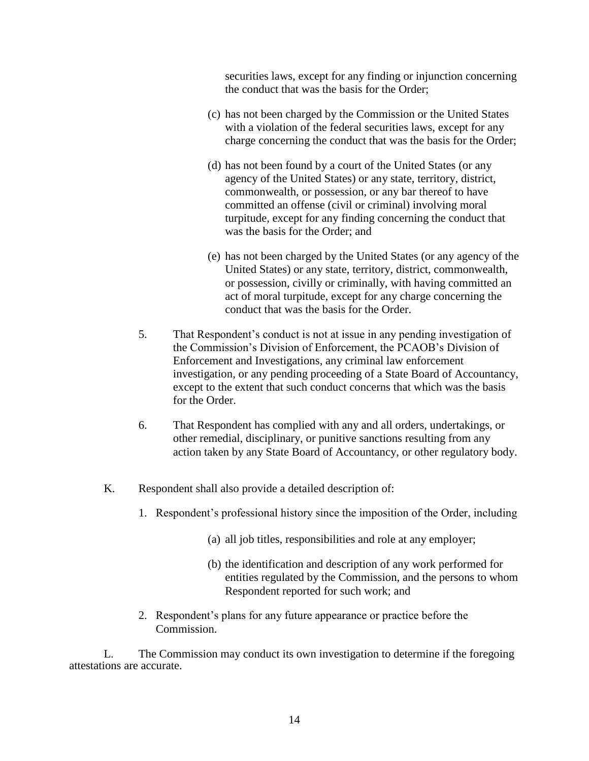securities laws, except for any finding or injunction concerning the conduct that was the basis for the Order;

- (c) has not been charged by the Commission or the United States with a violation of the federal securities laws, except for any charge concerning the conduct that was the basis for the Order;
- (d) has not been found by a court of the United States (or any agency of the United States) or any state, territory, district, commonwealth, or possession, or any bar thereof to have committed an offense (civil or criminal) involving moral turpitude, except for any finding concerning the conduct that was the basis for the Order; and
- (e) has not been charged by the United States (or any agency of the United States) or any state, territory, district, commonwealth, or possession, civilly or criminally, with having committed an act of moral turpitude, except for any charge concerning the conduct that was the basis for the Order.
- 5. That Respondent's conduct is not at issue in any pending investigation of the Commission's Division of Enforcement, the PCAOB's Division of Enforcement and Investigations, any criminal law enforcement investigation, or any pending proceeding of a State Board of Accountancy, except to the extent that such conduct concerns that which was the basis for the Order.
- 6. That Respondent has complied with any and all orders, undertakings, or other remedial, disciplinary, or punitive sanctions resulting from any action taken by any State Board of Accountancy, or other regulatory body.
- K. Respondent shall also provide a detailed description of:
	- 1. Respondent's professional history since the imposition of the Order, including
		- (a) all job titles, responsibilities and role at any employer;
		- (b) the identification and description of any work performed for entities regulated by the Commission, and the persons to whom Respondent reported for such work; and
	- 2. Respondent's plans for any future appearance or practice before the Commission.

L. The Commission may conduct its own investigation to determine if the foregoing attestations are accurate.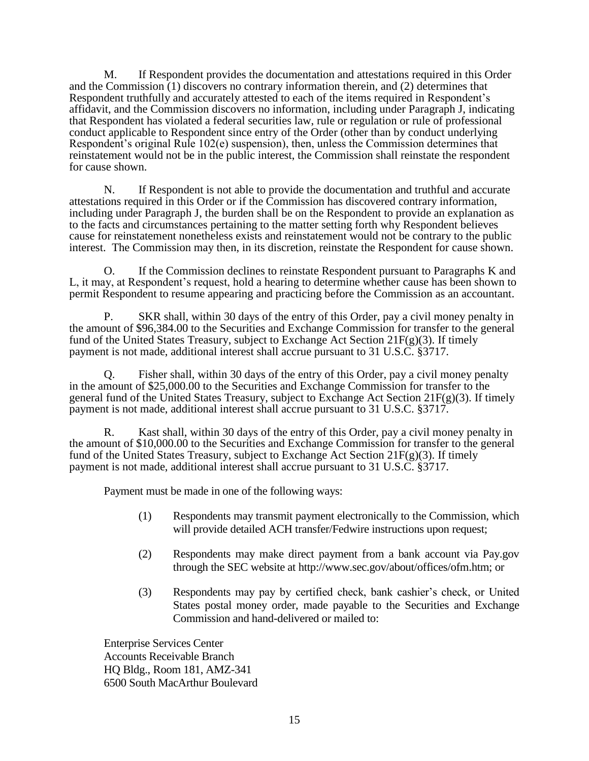M. If Respondent provides the documentation and attestations required in this Order and the Commission (1) discovers no contrary information therein, and (2) determines that Respondent truthfully and accurately attested to each of the items required in Respondent's affidavit, and the Commission discovers no information, including under Paragraph J, indicating that Respondent has violated a federal securities law, rule or regulation or rule of professional conduct applicable to Respondent since entry of the Order (other than by conduct underlying Respondent's original Rule 102(e) suspension), then, unless the Commission determines that reinstatement would not be in the public interest, the Commission shall reinstate the respondent for cause shown.

N. If Respondent is not able to provide the documentation and truthful and accurate attestations required in this Order or if the Commission has discovered contrary information, including under Paragraph J, the burden shall be on the Respondent to provide an explanation as to the facts and circumstances pertaining to the matter setting forth why Respondent believes cause for reinstatement nonetheless exists and reinstatement would not be contrary to the public interest. The Commission may then, in its discretion, reinstate the Respondent for cause shown.

O. If the Commission declines to reinstate Respondent pursuant to Paragraphs K and L, it may, at Respondent's request, hold a hearing to determine whether cause has been shown to permit Respondent to resume appearing and practicing before the Commission as an accountant.

P. SKR shall, within 30 days of the entry of this Order, pay a civil money penalty in the amount of \$96,384.00 to the Securities and Exchange Commission for transfer to the general fund of the United States Treasury, subject to Exchange Act Section 21F(g)(3). If timely payment is not made, additional interest shall accrue pursuant to 31 U.S.C. §3717.

Q. Fisher shall, within 30 days of the entry of this Order, pay a civil money penalty in the amount of \$25,000.00 to the Securities and Exchange Commission for transfer to the general fund of the United States Treasury, subject to Exchange Act Section 21F(g)(3). If timely payment is not made, additional interest shall accrue pursuant to 31 U.S.C. §3717.

R. Kast shall, within 30 days of the entry of this Order, pay a civil money penalty in the amount of \$10,000.00 to the Securities and Exchange Commission for transfer to the general fund of the United States Treasury, subject to Exchange Act Section 21F(g)(3). If timely payment is not made, additional interest shall accrue pursuant to 31 U.S.C. §3717.

Payment must be made in one of the following ways:

- (1) Respondents may transmit payment electronically to the Commission, which will provide detailed ACH transfer/Fedwire instructions upon request;
- (2) Respondents may make direct payment from a bank account via Pay.gov through the SEC website at http://www.sec.gov/about/offices/ofm.htm; or
- (3) Respondents may pay by certified check, bank cashier's check, or United States postal money order, made payable to the Securities and Exchange Commission and hand-delivered or mailed to:

Enterprise Services Center Accounts Receivable Branch HQ Bldg., Room 181, AMZ-341 6500 South MacArthur Boulevard